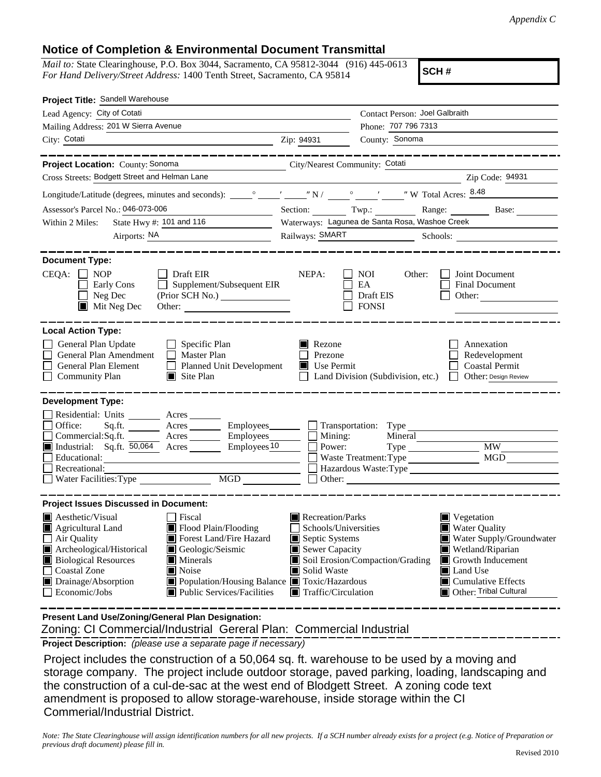## **Notice of Completion & Environmental Document Transmittal**

*Mail to:* State Clearinghouse, P.O. Box 3044, Sacramento, CA 95812-3044 (916) 445-0613 *For Hand Delivery/Street Address:* 1400 Tenth Street, Sacramento, CA 95814

**SCH #**

| Project Title: Sandell Warehouse                                                                                                                                                                                                                                                                                                                                                              |                                                                                                                                                  |                                                                                                                                                                                                                             |  |
|-----------------------------------------------------------------------------------------------------------------------------------------------------------------------------------------------------------------------------------------------------------------------------------------------------------------------------------------------------------------------------------------------|--------------------------------------------------------------------------------------------------------------------------------------------------|-----------------------------------------------------------------------------------------------------------------------------------------------------------------------------------------------------------------------------|--|
| Lead Agency: City of Cotati                                                                                                                                                                                                                                                                                                                                                                   |                                                                                                                                                  | Contact Person: Joel Galbraith                                                                                                                                                                                              |  |
| Mailing Address: 201 W Sierra Avenue                                                                                                                                                                                                                                                                                                                                                          |                                                                                                                                                  | Phone: 707 796 7313                                                                                                                                                                                                         |  |
| City: Cotati                                                                                                                                                                                                                                                                                                                                                                                  | Zip: 94931                                                                                                                                       | County: Sonoma                                                                                                                                                                                                              |  |
| ___________                                                                                                                                                                                                                                                                                                                                                                                   |                                                                                                                                                  | ________________                                                                                                                                                                                                            |  |
| City/Nearest Community: Cotati<br>Project Location: County: Sonoma                                                                                                                                                                                                                                                                                                                            |                                                                                                                                                  |                                                                                                                                                                                                                             |  |
| Cross Streets: Bodgett Street and Helman Lane                                                                                                                                                                                                                                                                                                                                                 |                                                                                                                                                  | Zip Code: 94931                                                                                                                                                                                                             |  |
|                                                                                                                                                                                                                                                                                                                                                                                               |                                                                                                                                                  |                                                                                                                                                                                                                             |  |
| Assessor's Parcel No.: 046-073-006                                                                                                                                                                                                                                                                                                                                                            |                                                                                                                                                  | Section: Twp.: Twp.: Range: Base:                                                                                                                                                                                           |  |
| State Hwy #: 101 and 116<br>Within 2 Miles:                                                                                                                                                                                                                                                                                                                                                   |                                                                                                                                                  | Waterways: Lagunea de Santa Rosa, Washoe Creek                                                                                                                                                                              |  |
| Airports: NA                                                                                                                                                                                                                                                                                                                                                                                  |                                                                                                                                                  |                                                                                                                                                                                                                             |  |
| <b>Document Type:</b><br>$CEQA: \Box NP$<br>$\Box$ Draft EIR<br>Supplement/Subsequent EIR<br>Early Cons<br>$\Box$<br>Neg Dec<br>$\blacksquare$ Mit Neg Dec<br>Other:                                                                                                                                                                                                                          | NEPA:                                                                                                                                            | <b>NOI</b><br>Joint Document<br>Other:<br>EA<br>Final Document<br>Draft EIS<br>Other:<br><b>FONSI</b>                                                                                                                       |  |
| <b>Local Action Type:</b><br>General Plan Update<br>$\Box$ Specific Plan<br>General Plan Amendment<br>$\Box$ Master Plan<br>General Plan Element<br>Planned Unit Development<br><b>Community Plan</b><br>$\Box$ Site Plan                                                                                                                                                                     | Rezone<br>Prezone<br>Use Permit                                                                                                                  | Annexation<br>Redevelopment<br><b>Coastal Permit</b><br>Land Division (Subdivision, etc.)<br>Other: Design Review                                                                                                           |  |
| <b>Development Type:</b>                                                                                                                                                                                                                                                                                                                                                                      |                                                                                                                                                  |                                                                                                                                                                                                                             |  |
| Residential: Units ________ Acres _______<br>Office:<br>Sq.ft. ________ Acres _________ Employees_________ ___ Transportation: Type _______________________<br>Employees $10$<br>Industrial: Sq.ft. 50,064 Acres<br>Educational:<br>Recreational:<br>MGD<br>Water Facilities: Type                                                                                                            | Mining:<br>Power:                                                                                                                                | $\overline{\text{MW}}$<br>Type<br>MGD<br>Waste Treatment: Type<br>Hazardous Waste: Type<br>$\Box$ Other:                                                                                                                    |  |
| <b>Project Issues Discussed in Document:</b>                                                                                                                                                                                                                                                                                                                                                  |                                                                                                                                                  |                                                                                                                                                                                                                             |  |
| $\blacksquare$ Aesthetic/Visual<br><b>Fiscal</b><br>Agricultural Land<br>Flood Plain/Flooding<br>Forest Land/Fire Hazard<br>$\Box$ Air Quality<br>Archeological/Historical<br>Geologic/Seismic<br><b>Biological Resources</b><br>Minerals<br><b>Coastal Zone</b><br>Noise<br>Drainage/Absorption<br>Population/Housing Balance Toxic/Hazardous<br>Economic/Jobs<br>Public Services/Facilities | $\blacksquare$ Recreation/Parks<br>Schools/Universities<br>Septic Systems<br>Sewer Capacity<br>Solid Waste<br>$\blacksquare$ Traffic/Circulation | Vegetation<br><b>Water Quality</b><br>Water Supply/Groundwater<br>Wetland/Riparian<br>Soil Erosion/Compaction/Grading<br>Growth Inducement<br>LШ<br>Land Use<br>$\blacksquare$ Cumulative Effects<br>Other: Tribal Cultural |  |
| Present Land Use/Zoning/General Plan Designation:                                                                                                                                                                                                                                                                                                                                             |                                                                                                                                                  |                                                                                                                                                                                                                             |  |

Zoning: CI Commercial/Industrial Gereral Plan: Commercial Industrial

**Project Description:** *(please use a separate page if necessary)*

 Project includes the construction of a 50,064 sq. ft. warehouse to be used by a moving and storage company. The project include outdoor storage, paved parking, loading, landscaping and the construction of a cul-de-sac at the west end of Blodgett Street. A zoning code text amendment is proposed to allow storage-warehouse, inside storage within the CI Commerial/Industrial District.

*Note: The State Clearinghouse will assign identification numbers for all new projects. If a SCH number already exists for a project (e.g. Notice of Preparation or previous draft document) please fill in.*